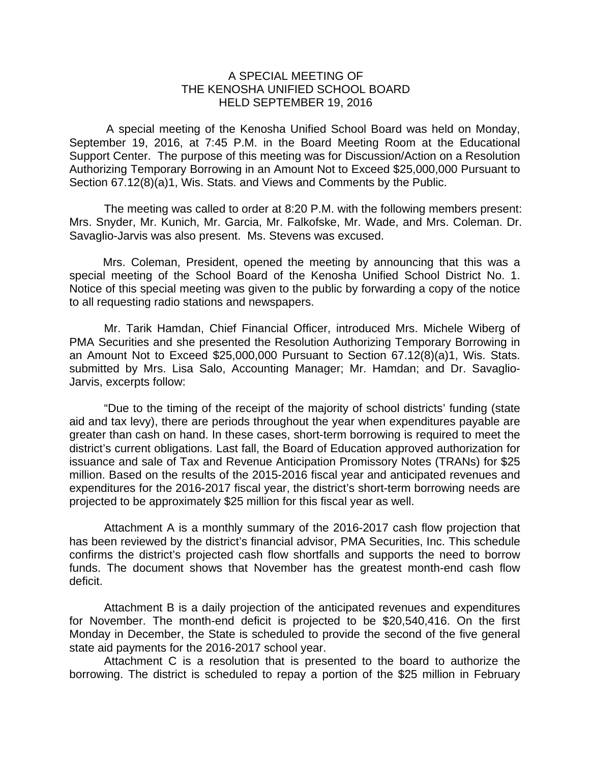## A SPECIAL MEETING OF THE KENOSHA UNIFIED SCHOOL BOARD HELD SEPTEMBER 19, 2016

A special meeting of the Kenosha Unified School Board was held on Monday, September 19, 2016, at 7:45 P.M. in the Board Meeting Room at the Educational Support Center. The purpose of this meeting was for Discussion/Action on a Resolution Authorizing Temporary Borrowing in an Amount Not to Exceed \$25,000,000 Pursuant to Section 67.12(8)(a)1, Wis. Stats. and Views and Comments by the Public.

The meeting was called to order at 8:20 P.M. with the following members present: Mrs. Snyder, Mr. Kunich, Mr. Garcia, Mr. Falkofske, Mr. Wade, and Mrs. Coleman. Dr. Savaglio-Jarvis was also present. Ms. Stevens was excused.

Mrs. Coleman, President, opened the meeting by announcing that this was a special meeting of the School Board of the Kenosha Unified School District No. 1. Notice of this special meeting was given to the public by forwarding a copy of the notice to all requesting radio stations and newspapers.

Mr. Tarik Hamdan, Chief Financial Officer, introduced Mrs. Michele Wiberg of PMA Securities and she presented the Resolution Authorizing Temporary Borrowing in an Amount Not to Exceed \$25,000,000 Pursuant to Section 67.12(8)(a)1, Wis. Stats. submitted by Mrs. Lisa Salo, Accounting Manager; Mr. Hamdan; and Dr. Savaglio-Jarvis, excerpts follow:

"Due to the timing of the receipt of the majority of school districts' funding (state aid and tax levy), there are periods throughout the year when expenditures payable are greater than cash on hand. In these cases, short-term borrowing is required to meet the district's current obligations. Last fall, the Board of Education approved authorization for issuance and sale of Tax and Revenue Anticipation Promissory Notes (TRANs) for \$25 million. Based on the results of the 2015-2016 fiscal year and anticipated revenues and expenditures for the 2016-2017 fiscal year, the district's short-term borrowing needs are projected to be approximately \$25 million for this fiscal year as well.

Attachment A is a monthly summary of the 2016-2017 cash flow projection that has been reviewed by the district's financial advisor, PMA Securities, Inc. This schedule confirms the district's projected cash flow shortfalls and supports the need to borrow funds. The document shows that November has the greatest month-end cash flow deficit.

Attachment B is a daily projection of the anticipated revenues and expenditures for November. The month-end deficit is projected to be \$20,540,416. On the first Monday in December, the State is scheduled to provide the second of the five general state aid payments for the 2016-2017 school year.

Attachment C is a resolution that is presented to the board to authorize the borrowing. The district is scheduled to repay a portion of the \$25 million in February